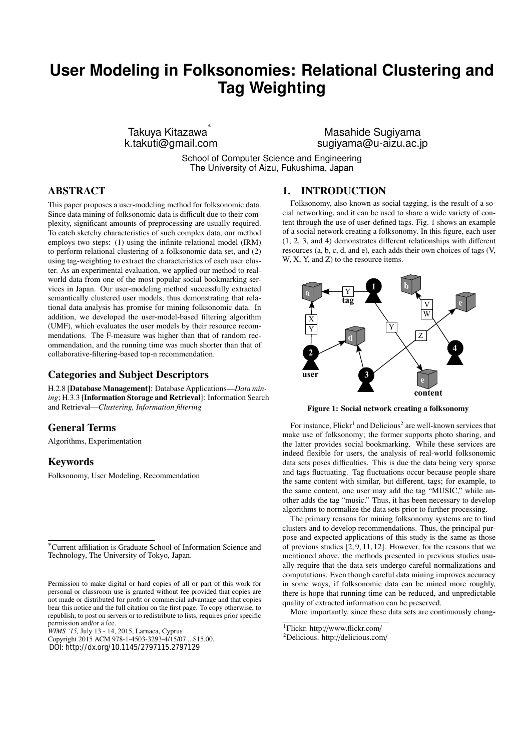# **User Modeling in Folksonomies: Relational Clustering and Tag Weighting**

Takuya Kitazawa ∗ k.takuti@gmail.com

Masahide Sugiyama sugiyama@u-aizu.ac.jp

School of Computer Science and Engineering The University of Aizu, Fukushima, Japan

# ABSTRACT

This paper proposes a user-modeling method for folksonomic data. Since data mining of folksonomic data is difficult due to their complexity, significant amounts of preprocessing are usually required. To catch sketchy characteristics of such complex data, our method employs two steps: (1) using the infinite relational model (IRM) to perform relational clustering of a folksonomic data set, and (2) using tag-weighting to extract the characteristics of each user cluster. As an experimental evaluation, we applied our method to realworld data from one of the most popular social bookmarking services in Japan. Our user-modeling method successfully extracted semantically clustered user models, thus demonstrating that relational data analysis has promise for mining folksonomic data. In addition, we developed the user-model-based filtering algorithm (UMF), which evaluates the user models by their resource recommendations. The F-measure was higher than that of random recommendation, and the running time was much shorter than that of collaborative-filtering-based top-n recommendation.

# Categories and Subject Descriptors

H.2.8 [Database Management]: Database Applications—*Data mining*; H.3.3 [Information Storage and Retrieval]: Information Search and Retrieval—*Clustering, Information filtering*

# General Terms

Algorithms, Experimentation

## Keywords

Folksonomy, User Modeling, Recommendation

*WIMS '15,* July 13 - 14, 2015, Larnaca, Cyprus

Copyright 2015 ACM 978-1-4503-3293-4/15/07 ...\$15.00. DOI: http://dx.org/10.1145/2797115.2797129

# 1. INTRODUCTION

Folksonomy, also known as social tagging, is the result of a social networking, and it can be used to share a wide variety of content through the use of user-defined tags. Fig. 1 shows an example of a social network creating a folksonomy. In this figure, each user (1, 2, 3, and 4) demonstrates different relationships with different resources (a, b, c, d, and e), each adds their own choices of tags (V, W, X, Y, and Z) to the resource items.



Figure 1: Social network creating a folksonomy

For instance, Flickr<sup>1</sup> and Delicious<sup>2</sup> are well-known services that make use of folksonomy; the former supports photo sharing, and the latter provides social bookmarking. While these services are indeed flexible for users, the analysis of real-world folksonomic data sets poses difficulties. This is due the data being very sparse and tags fluctuating. Tag fluctuations occur because people share the same content with similar, but different, tags; for example, to the same content, one user may add the tag "MUSIC," while another adds the tag "music." Thus, it has been necessary to develop algorithms to normalize the data sets prior to further processing.

The primary reasons for mining folksonomy systems are to find clusters and to develop recommendations. Thus, the principal purpose and expected applications of this study is the same as those of previous studies [2, 9, 11, 12]. However, for the reasons that we mentioned above, the methods presented in previous studies usually require that the data sets undergo careful normalizations and computations. Even though careful data mining improves accuracy in some ways, if folksonomic data can be mined more roughly, there is hope that running time can be reduced, and unpredictable quality of extracted information can be preserved.

More importantly, since these data sets are continuously chang-

<sup>2</sup>Delicious. http://delicious.com/

<sup>∗</sup>Current affiliation is Graduate School of Information Science and Technology, The University of Tokyo, Japan.

Permission to make digital or hard copies of all or part of this work for personal or classroom use is granted without fee provided that copies are not made or distributed for profit or commercial advantage and that copies bear this notice and the full citation on the first page. To copy otherwise, to republish, to post on servers or to redistribute to lists, requires prior specific permission and/or a fee.

<sup>1</sup>Flickr. http://www.flickr.com/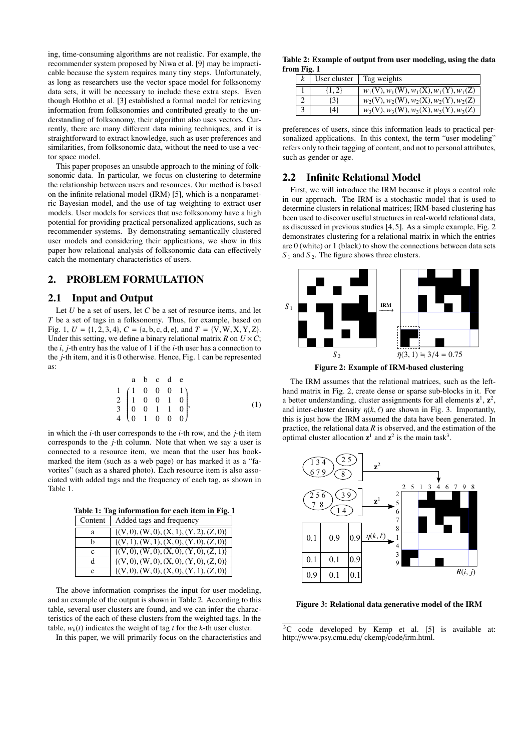ing, time-consuming algorithms are not realistic. For example, the recommender system proposed by Niwa et al. [9] may be impracticable because the system requires many tiny steps. Unfortunately, as long as researchers use the vector space model for folksonomy data sets, it will be necessary to include these extra steps. Even though Hothho et al. [3] established a formal model for retrieving information from folksonomies and contributed greatly to the understanding of folksonomy, their algorithm also uses vectors. Currently, there are many different data mining techniques, and it is straightforward to extract knowledge, such as user preferences and similarities, from folksonomic data, without the need to use a vector space model.

This paper proposes an unsubtle approach to the mining of folksonomic data. In particular, we focus on clustering to determine the relationship between users and resources. Our method is based on the infinite relational model (IRM) [5], which is a nonparametric Bayesian model, and the use of tag weighting to extract user models. User models for services that use folksonomy have a high potential for providing practical personalized applications, such as recommender systems. By demonstrating semantically clustered user models and considering their applications, we show in this paper how relational analysis of folksonomic data can effectively catch the momentary characteristics of users.

# 2. PROBLEM FORMULATION

# 2.1 Input and Output

Let *U* be a set of users, let *C* be a set of resource items, and let *T* be a set of tags in a folksonomy. Thus, for example, based on Fig. 1,  $U = \{1, 2, 3, 4\}, C = \{a, b, c, d, e\}, \text{ and } T = \{V, W, X, Y, Z\}.$ Under this setting, we define a binary relational matrix *R* on  $U \times C$ ; the *i*, *j*-th entry has the value of 1 if the *i*-th user has a connection to the *j*-th item, and it is 0 otherwise. Hence, Fig. 1 can be represented as:

$$
\begin{array}{cccccc}\n & a & b & c & d & e \\
1 & 0 & 0 & 0 & 1 \\
2 & 1 & 0 & 0 & 1 & 0 \\
3 & 0 & 0 & 1 & 1 & 0 \\
4 & 0 & 1 & 0 & 0 & 0\n\end{array}
$$
\n(1)

in which the *i*-th user corresponds to the *i*-th row, and the *j*-th item corresponds to the *j*-th column. Note that when we say a user is connected to a resource item, we mean that the user has bookmarked the item (such as a web page) or has marked it as a "favorites" (such as a shared photo). Each resource item is also associated with added tags and the frequency of each tag, as shown in Table 1.

Table 1: Tag information for each item in Fig. 1

| Content | Added tags and frequency                      |
|---------|-----------------------------------------------|
|         |                                               |
| a       | $\{(V, 0), (W, 0), (X, 1), (Y, 2), (Z, 0)\}\$ |
| h       | $\{(V, 1), (W, 1), (X, 0), (Y, 0), (Z, 0)\}\$ |
|         |                                               |
| c       | $\{(V, 0), (W, 0), (X, 0), (Y, 0), (Z, 1)\}\$ |
| d       | $\{(V, 0), (W, 0), (X, 0), (Y, 0), (Z, 0)\}\$ |
| e       | $\{(V, 0), (W, 0), (X, 0), (Y, 1), (Z, 0)\}\$ |

The above information comprises the input for user modeling, and an example of the output is shown in Table 2. According to this table, several user clusters are found, and we can infer the characteristics of the each of these clusters from the weighted tags. In the table,  $w_k(t)$  indicates the weight of tag *t* for the *k*-th user cluster.

In this paper, we will primarily focus on the characteristics and

Table 2: Example of output from user modeling, using the data from Fig. 1

|           | User cluster $ $ Tag weights             |
|-----------|------------------------------------------|
| $\{1,2\}$ | $w_1(V), w_1(W), w_1(X), w_1(Y), w_1(Z)$ |
| $\{3\}$   | $w_2(V), w_2(W), w_2(X), w_2(Y), w_2(Z)$ |
| {4}       | $w_3(V), w_3(W), w_3(X), w_3(Y), w_3(Z)$ |

preferences of users, since this information leads to practical personalized applications. In this context, the term "user modeling" refers only to their tagging of content, and not to personal attributes, such as gender or age.

# 2.2 Infinite Relational Model

First, we will introduce the IRM because it plays a central role in our approach. The IRM is a stochastic model that is used to determine clusters in relational matrices; IRM-based clustering has been used to discover useful structures in real-world relational data, as discussed in previous studies [4, 5]. As a simple example, Fig. 2 demonstrates clustering for a relational matrix in which the entries are 0 (white) or 1 (black) to show the connections between data sets  $S_1$  and  $S_2$ . The figure shows three clusters.



Figure 2: Example of IRM-based clustering

The IRM assumes that the relational matrices, such as the lefthand matrix in Fig. 2, create dense or sparse sub-blocks in it. For a better understanding, cluster assignments for all elements  $z^1$ ,  $z^2$ , and inter-cluster density  $\eta(k, \ell)$  are shown in Fig. 3. Importantly, this is just how the IRM assumed the data have been generated. In practice, the relational data *R* is observed, and the estimation of the optimal cluster allocation  $z^1$  and  $z^2$  is the main task<sup>3</sup>.



Figure 3: Relational data generative model of the IRM

<sup>&</sup>lt;sup>3</sup>C code developed by Kemp et al. [5] is available at: http://www.psy.cmu.edu/ ckemp/code/irm.html.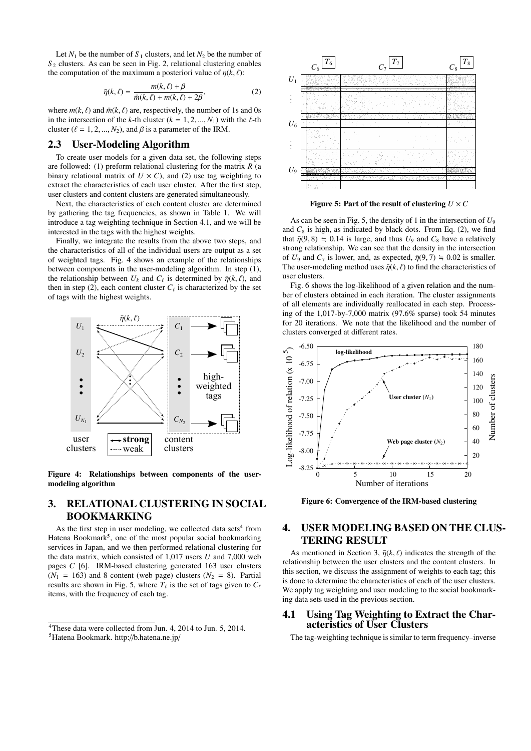Let  $N_1$  be the number of  $S_1$  clusters, and let  $N_2$  be the number of  $S_2$  clusters. As can be seen in Fig. 2, relational clustering enables the computation of the maximum a posteriori value of  $\eta(k, \ell)$ :

$$
\bar{\eta}(k,\ell) = \frac{m(k,\ell) + \beta}{\bar{m}(k,\ell) + m(k,\ell) + 2\beta},\tag{2}
$$

where  $m(k, \ell)$  and  $\bar{m}(k, \ell)$  are, respectively, the number of 1s and 0s in the intersection of the *k*-th cluster  $(k = 1, 2, ..., N_1)$  with the  $\ell$ -th cluster ( $\ell = 1, 2, ..., N_2$ ), and  $\beta$  is a parameter of the IRM.

# 2.3 User-Modeling Algorithm

To create user models for a given data set, the following steps are followed: (1) preform relational clustering for the matrix *R* (a binary relational matrix of  $U \times C$ ), and (2) use tag weighting to extract the characteristics of each user cluster. After the first step, user clusters and content clusters are generated simultaneously.

Next, the characteristics of each content cluster are determined by gathering the tag frequencies, as shown in Table 1. We will introduce a tag weighting technique in Section 4.1, and we will be interested in the tags with the highest weights.

Finally, we integrate the results from the above two steps, and the characteristics of all of the individual users are output as a set of weighted tags. Fig. 4 shows an example of the relationships between components in the user-modeling algorithm. In step (1), the relationship between  $U_k$  and  $C_\ell$  is determined by  $\bar{\eta}(k,\ell)$ , and then in step  $(2)$ , each content cluster  $C_{\ell}$  is characterized by the set of tags with the highest weights.



Figure 4: Relationships between components of the usermodeling algorithm

# 3. RELATIONAL CLUSTERING IN SOCIAL BOOKMARKING

As the first step in user modeling, we collected data sets<sup>4</sup> from Hatena Bookmark<sup>5</sup>, one of the most popular social bookmarking services in Japan, and we then performed relational clustering for the data matrix, which consisted of 1,017 users *U* and 7,000 web pages *C* [6]. IRM-based clustering generated 163 user clusters  $(N_1 = 163)$  and 8 content (web page) clusters  $(N_2 = 8)$ . Partial results are shown in Fig. 5, where  $T_{\ell}$  is the set of tags given to  $C_{\ell}$ items, with the frequency of each tag.



Figure 5: Part of the result of clustering  $U \times C$ 

As can be seen in Fig. 5, the density of 1 in the intersection of *U*<sup>9</sup> and  $C_8$  is high, as indicated by black dots. From Eq. (2), we find that  $\bar{\eta}(9, 8) = 0.14$  is large, and thus  $U_9$  and  $C_8$  have a relatively strong relationship. We can see that the density in the intersection of  $U_9$  and  $C_7$  is lower, and, as expected,  $\bar{\eta}(9, 7) = 0.02$  is smaller. The user-modeling method uses  $\bar{\eta}(k, \ell)$  to find the characteristics of user clusters.

Fig. 6 shows the log-likelihood of a given relation and the number of clusters obtained in each iteration. The cluster assignments of all elements are individually reallocated in each step. Processing of the 1,017-by-7,000 matrix (97.6% sparse) took 54 minutes for 20 iterations. We note that the likelihood and the number of clusters converged at different rates.



Figure 6: Convergence of the IRM-based clustering

# 4. USER MODELING BASED ON THE CLUS-TERING RESULT

As mentioned in Section 3,  $\bar{\eta}(k, \ell)$  indicates the strength of the relationship between the user clusters and the content clusters. In this section, we discuss the assignment of weights to each tag; this is done to determine the characteristics of each of the user clusters. We apply tag weighting and user modeling to the social bookmarking data sets used in the previous section.

# 4.1 Using Tag Weighting to Extract the Characteristics of User Clusters

The tag-weighting technique is similar to term frequency–inverse

<sup>4</sup>These data were collected from Jun. 4, 2014 to Jun. 5, 2014.

<sup>5</sup>Hatena Bookmark. http://b.hatena.ne.jp/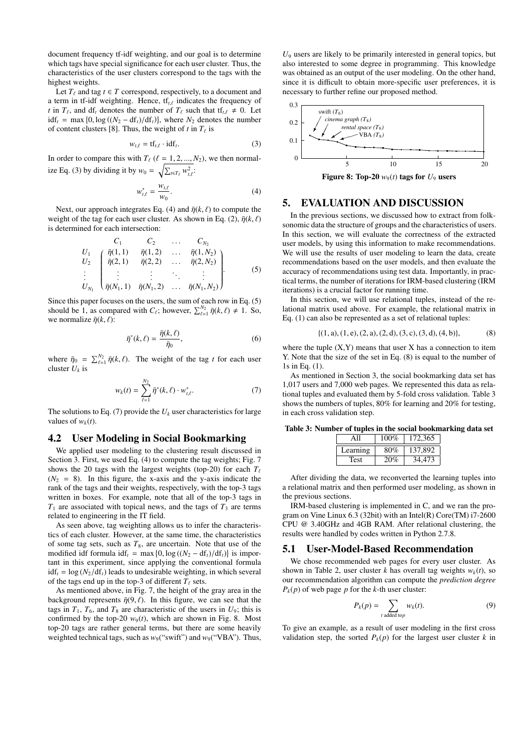document frequency tf-idf weighting, and our goal is to determine which tags have special significance for each user cluster. Thus, the characteristics of the user clusters correspond to the tags with the highest weights.

Let  $T_\ell$  and tag  $t \in T$  correspond, respectively, to a document and a term in tf-idf weighting. Hence, tf*t*,ℓ indicates the frequency of *t* in  $T_\ell$ , and df<sub>t</sub> denotes the number of  $T_\ell$  such that tf<sub>t, $\ell \neq 0$ . Let</sub>  $\text{idf}_t = \max\{0, \log((N_2 - \text{df}_t)/\text{df}_t)\}, \text{ where } N_2 \text{ denotes the number }$ of content clusters [8]. Thus, the weight of  $t$  in  $T_\ell$  is

$$
w_{t,\ell} = \text{tf}_{t,\ell} \cdot \text{idf}_t. \tag{3}
$$

In order to compare this with  $T_{\ell}$  ( $\ell = 1, 2, ..., N_2$ ), we then normalize Eq. (3) by dividing it by  $w_0 = \sqrt{\sum_{t \in T_\ell} w_{t,\ell}^2}$ .

$$
w_{t,\ell}^* = \frac{w_{t,\ell}}{w_0}.\tag{4}
$$

Next, our approach integrates Eq. (4) and  $\bar{\eta}(k, \ell)$  to compute the weight of the tag for each user cluster. As shown in Eq. (2),  $\bar{\eta}(k, \ell)$ is determined for each intersection:

$$
U_1\nU_2\n\begin{bmatrix}\n\bar{\eta}(1,1) & \bar{\eta}(1,2) & \dots & \bar{\eta}(1,N_2) \\
\bar{\eta}(2,1) & \bar{\eta}(2,2) & \dots & \bar{\eta}(2,N_2) \\
\vdots & \vdots & \vdots & \ddots & \vdots \\
\bar{\eta}(N_1,1) & \bar{\eta}(N_1,2) & \dots & \bar{\eta}(N_1,N_2)\n\end{bmatrix}
$$
\n(5)

Since this paper focuses on the users, the sum of each row in Eq. (5) should be 1, as compared with  $C_{\ell}$ ; however,  $\sum_{\ell=1}^{N_2} \bar{\eta}(k,\ell) \neq 1$ . So, we normalize  $\bar{\eta}(k,\ell)$ :

$$
\bar{\eta}^*(k,\ell) = \frac{\bar{\eta}(k,\ell)}{\bar{\eta}_0},\tag{6}
$$

where  $\bar{\eta}_0 = \sum_{\ell=1}^{N_2} \bar{\eta}(k,\ell)$ . The weight of the tag *t* for each user cluster *U<sup>k</sup>* is

$$
w_k(t) = \sum_{\ell=1}^{N_2} \bar{\eta}^*(k, \ell) \cdot w_{t, \ell}^*.
$$
 (7)

The solutions to Eq. (7) provide the  $U_k$  user characteristics for large values of  $w_k(t)$ .

## 4.2 User Modeling in Social Bookmarking

We applied user modeling to the clustering result discussed in Section 3. First, we used Eq. (4) to compute the tag weights; Fig. 7 shows the 20 tags with the largest weights (top-20) for each  $T_\ell$  $(N_2 = 8)$ . In this figure, the x-axis and the y-axis indicate the rank of the tags and their weights, respectively, with the top-3 tags written in boxes. For example, note that all of the top-3 tags in  $T_1$  are associated with topical news, and the tags of  $T_3$  are terms related to engineering in the IT field.

As seen above, tag weighting allows us to infer the characteristics of each cluster. However, at the same time, the characteristics of some tag sets, such as  $T_8$ , are uncertain. Note that use of the modified idf formula  $\text{idf}_t = \max\{0, \log((N_2 - \text{df}_t)/\text{df}_t)\}\)$  is important in this experiment, since applying the conventional formula  $\text{idf}_t = \log(N_2/\text{df}_t)$  leads to undesirable weighting, in which several of the tags end up in the top-3 of different  $T_\ell$  sets.

As mentioned above, in Fig. 7, the height of the gray area in the background represents  $\bar{\eta}(9, \ell)$ . In this figure, we can see that the tags in  $T_1$ ,  $T_6$ , and  $T_8$  are characteristic of the users in  $U_9$ ; this is confirmed by the top-20  $w_9(t)$ , which are shown in Fig. 8. Most top-20 tags are rather general terms, but there are some heavily weighted technical tags, such as  $w_9$ ("swift") and  $w_9$ ("VBA"). Thus,

 $U<sub>9</sub>$  users are likely to be primarily interested in general topics, but also interested to some degree in programming. This knowledge was obtained as an output of the user modeling. On the other hand, since it is difficult to obtain more-specific user preferences, it is necessary to further refine our proposed method.



Figure 8: Top-20  $w_9(t)$  tags for  $U_9$  users

## 5. EVALUATION AND DISCUSSION

In the previous sections, we discussed how to extract from folksonomic data the structure of groups and the characteristics of users. In this section, we will evaluate the correctness of the extracted user models, by using this information to make recommendations. We will use the results of user modeling to learn the data, create recommendations based on the user models, and then evaluate the accuracy of recommendations using test data. Importantly, in practical terms, the number of iterations for IRM-based clustering (IRM iterations) is a crucial factor for running time.

In this section, we will use relational tuples, instead of the relational matrix used above. For example, the relational matrix in Eq. (1) can also be represented as a set of relational tuples:

$$
\{(1, a), (1, e), (2, a), (2, d), (3, c), (3, d), (4, b)\},\tag{8}
$$

where the tuple  $(X, Y)$  means that user  $X$  has a connection to item Y. Note that the size of the set in Eq. (8) is equal to the number of 1s in Eq. (1).

As mentioned in Section 3, the social bookmarking data set has 1,017 users and 7,000 web pages. We represented this data as relational tuples and evaluated them by 5-fold cross validation. Table 3 shows the numbers of tuples, 80% for learning and 20% for testing, in each cross validation step.

| Table 3: Number of tuples in the social bookmarking data set |  |  |
|--------------------------------------------------------------|--|--|
|                                                              |  |  |

| AΠ       | $100\%$ | 172,365 |  |
|----------|---------|---------|--|
| Learning | 80%     | 137.892 |  |
| Test     | 20%     | 34.473  |  |

After dividing the data, we reconverted the learning tuples into a relational matrix and then performed user modeling, as shown in the previous sections.

IRM-based clustering is implemented in C, and we ran the program on Vine Linux 6.3 (32bit) with an Intel(R) Core(TM) i7-2600 CPU @ 3.40GHz and 4GB RAM. After relational clustering, the results were handled by codes written in Python 2.7.8.

#### 5.1 User-Model-Based Recommendation

We chose recommended web pages for every user cluster. As shown in Table 2, user cluster *k* has overall tag weights  $w_k(t)$ , so our recommendation algorithm can compute the *prediction degree*  $P_k(p)$  of web page *p* for the *k*-th user cluster:

$$
P_k(p) = \sum_{t \text{ added top}} w_k(t). \tag{9}
$$

To give an example, as a result of user modeling in the first cross validation step, the sorted  $P_k(p)$  for the largest user cluster *k* in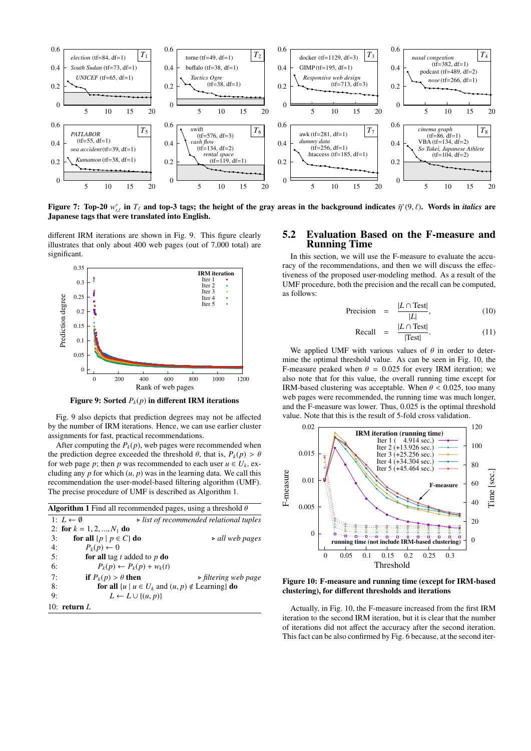

Figure 7: Top-20  $w_{t,\ell}^*$  in  $T_\ell$  and top-3 tags; the height of the gray areas in the background indicates  $\bar{\eta}^*(9,\ell)$ . Words in *italics* are Japanese tags that were translated into English.

different IRM iterations are shown in Fig. 9. This figure clearly illustrates that only about 400 web pages (out of 7,000 total) are significant.



Figure 9: Sorted  $P_k(p)$  in different IRM iterations

Fig. 9 also depicts that prediction degrees may not be affected by the number of IRM iterations. Hence, we can use earlier cluster assignments for fast, practical recommendations.

After computing the  $P_k(p)$ , web pages were recommended when the prediction degree exceeded the threshold  $\theta$ , that is,  $P_k(p) > \theta$ for web page *p*; then *p* was recommended to each user  $u \in U_k$ , excluding any  $p$  for which  $(u, p)$  was in the learning data. We call this recommendation the user-model-based filtering algorithm (UMF). The precise procedure of UMF is described as Algorithm 1.

| <b>Algorithm 1</b> Find all recommended pages, using a threshold $\theta$ |                                 |                                                                               |  |
|---------------------------------------------------------------------------|---------------------------------|-------------------------------------------------------------------------------|--|
|                                                                           | 1: $L \leftarrow \emptyset$     | $\triangleright$ list of recommended relational tuples                        |  |
|                                                                           | 2: for $k = 1, 2, , N_1$ do     |                                                                               |  |
| 3:                                                                        | for all $\{p \mid p \in C\}$ do | $\triangleright$ all web pages                                                |  |
| 4:                                                                        | $P_k(p) \leftarrow 0$           |                                                                               |  |
| 5:                                                                        | for all tag $t$ added to $p$ do |                                                                               |  |
| 6:                                                                        |                                 | $P_k(p) \leftarrow P_k(p) + w_k(t)$                                           |  |
| 7:                                                                        | if $P_k(p) > \theta$ then       | $\triangleright$ filtering web page                                           |  |
| 8:                                                                        |                                 | for all $\{u \mid u \in U_k \text{ and } (u, p) \notin \text{Learning}\}\$ do |  |
| 9:                                                                        |                                 | $L \leftarrow L \cup \{(u, p)\}\$                                             |  |
|                                                                           | 10: return $L$                  |                                                                               |  |

## 5.2 Evaluation Based on the F-measure and Running Time

In this section, we will use the F-measure to evaluate the accuracy of the recommendations, and then we will discuss the effectiveness of the proposed user-modeling method. As a result of the UMF procedure, both the precision and the recall can be computed, as follows:

$$
\text{Precision} = \frac{|L \cap \text{Test}|}{|L|},\tag{10}
$$

$$
\text{Recall} = \frac{|L \cap \text{Test}|}{|\text{Test}|}. \tag{11}
$$

We applied UMF with various values of  $\theta$  in order to determine the optimal threshold value. As can be seen in Fig. 10, the F-measure peaked when  $\theta = 0.025$  for every IRM iteration; we also note that for this value, the overall running time except for IRM-based clustering was acceptable. When  $\theta$  < 0.025, too many web pages were recommended, the running time was much longer, and the F-measure was lower. Thus, 0.025 is the optimal threshold value. Note that this is the result of 5-fold cross validation.



Figure 10: F-measure and running time (except for IRM-based clustering), for different thresholds and iterations

Actually, in Fig. 10, the F-measure increased from the first IRM iteration to the second IRM iteration, but it is clear that the number of iterations did not affect the accuracy after the second iteration. This fact can be also confirmed by Fig. 6 because, at the second iter